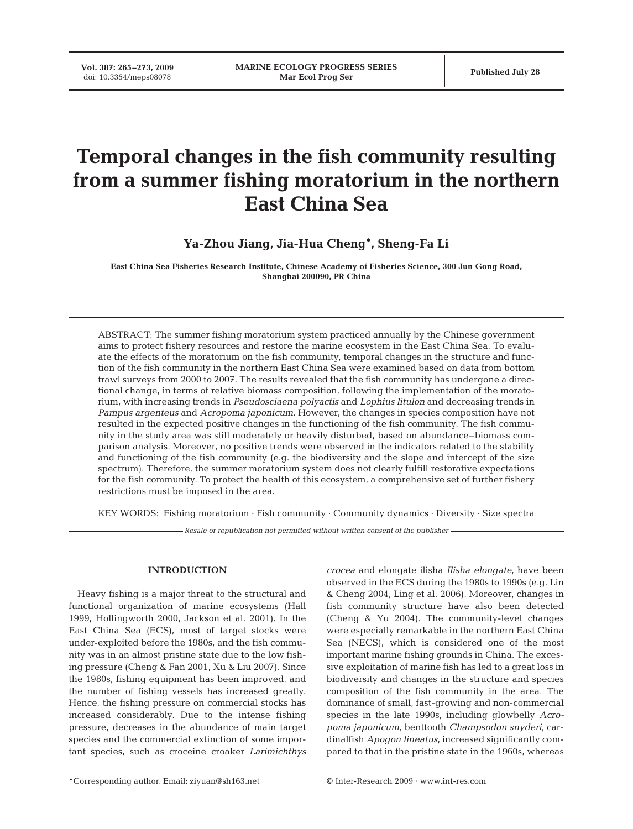**Vol. 387: 265–273, 2009**

# **Temporal changes in the fish community resulting from a summer fishing moratorium in the northern East China Sea**

**Ya-Zhou Jiang, Jia-Hua Cheng\*, Sheng-Fa Li**

**East China Sea Fisheries Research Institute, Chinese Academy of Fisheries Science, 300 Jun Gong Road, Shanghai 200090, PR China**

ABSTRACT: The summer fishing moratorium system practiced annually by the Chinese government aims to protect fishery resources and restore the marine ecosystem in the East China Sea. To evaluate the effects of the moratorium on the fish community, temporal changes in the structure and function of the fish community in the northern East China Sea were examined based on data from bottom trawl surveys from 2000 to 2007. The results revealed that the fish community has undergone a directional change, in terms of relative biomass composition, following the implementation of the moratorium, with increasing trends in *Pseudosciaena polyactis* and *Lophius litulon* and decreasing trends in *Pampus argenteus* and *Acropoma japonicum*. However, the changes in species composition have not resulted in the expected positive changes in the functioning of the fish community. The fish community in the study area was still moderately or heavily disturbed, based on abundance–biomass comparison analysis. Moreover, no positive trends were observed in the indicators related to the stability and functioning of the fish community (e.g. the biodiversity and the slope and intercept of the size spectrum). Therefore, the summer moratorium system does not clearly fulfill restorative expectations for the fish community. To protect the health of this ecosystem, a comprehensive set of further fishery restrictions must be imposed in the area.

KEY WORDS: Fishing moratorium · Fish community · Community dynamics · Diversity · Size spectra

*Resale or republication not permitted without written consent of the publisher*

## **INTRODUCTION**

Heavy fishing is a major threat to the structural and functional organization of marine ecosystems (Hall 1999, Hollingworth 2000, Jackson et al. 2001). In the East China Sea (ECS), most of target stocks were under-exploited before the 1980s, and the fish community was in an almost pristine state due to the low fishing pressure (Cheng & Fan 2001, Xu & Liu 2007). Since the 1980s, fishing equipment has been improved, and the number of fishing vessels has increased greatly. Hence, the fishing pressure on commercial stocks has increased considerably. Due to the intense fishing pressure, decreases in the abundance of main target species and the commercial extinction of some important species, such as croceine croaker *Larimichthys* *crocea* and elongate ilisha *Ilisha elongate*, have been observed in the ECS during the 1980s to 1990s (e.g. Lin & Cheng 2004, Ling et al. 2006). Moreover, changes in fish community structure have also been detected (Cheng & Yu 2004). The community-level changes were especially remarkable in the northern East China Sea (NECS), which is considered one of the most important marine fishing grounds in China. The excessive exploitation of marine fish has led to a great loss in biodiversity and changes in the structure and species composition of the fish community in the area. The dominance of small, fast-growing and non-commercial species in the late 1990s, including glowbelly *Acropoma japonicum*, benttooth *Champsodon snyderi*, cardinalfish *Apogon lineatus*, increased significantly compared to that in the pristine state in the 1960s, whereas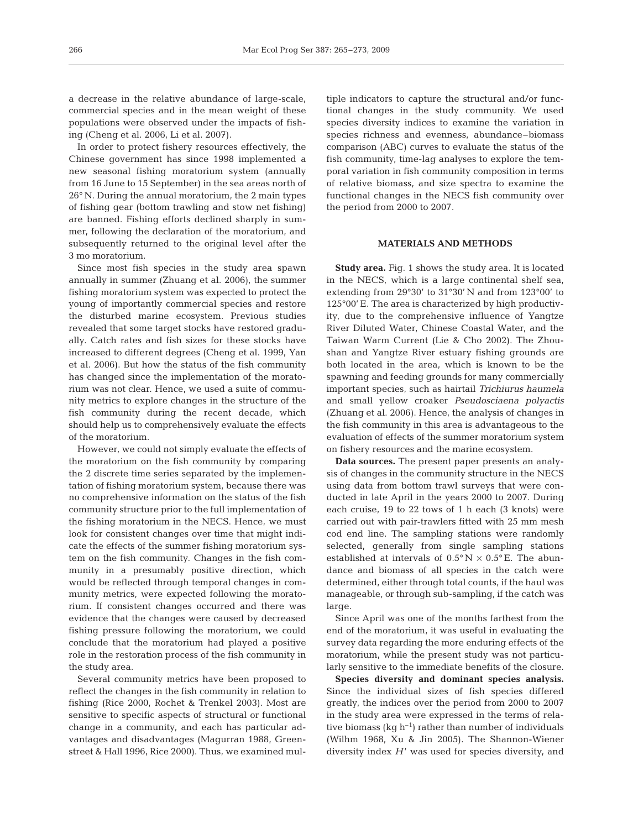a decrease in the relative abundance of large-scale, commercial species and in the mean weight of these populations were observed under the impacts of fishing (Cheng et al. 2006, Li et al. 2007).

In order to protect fishery resources effectively, the Chinese government has since 1998 implemented a new seasonal fishing moratorium system (annually from 16 June to 15 September) in the sea areas north of 26° N. During the annual moratorium, the 2 main types of fishing gear (bottom trawling and stow net fishing) are banned. Fishing efforts declined sharply in summer, following the declaration of the moratorium, and subsequently returned to the original level after the 3 mo moratorium.

Since most fish species in the study area spawn annually in summer (Zhuang et al. 2006), the summer fishing moratorium system was expected to protect the young of importantly commercial species and restore the disturbed marine ecosystem. Previous studies revealed that some target stocks have restored gradually. Catch rates and fish sizes for these stocks have increased to different degrees (Cheng et al. 1999, Yan et al. 2006). But how the status of the fish community has changed since the implementation of the moratorium was not clear. Hence, we used a suite of community metrics to explore changes in the structure of the fish community during the recent decade, which should help us to comprehensively evaluate the effects of the moratorium.

However, we could not simply evaluate the effects of the moratorium on the fish community by comparing the 2 discrete time series separated by the implementation of fishing moratorium system, because there was no comprehensive information on the status of the fish community structure prior to the full implementation of the fishing moratorium in the NECS. Hence, we must look for consistent changes over time that might indicate the effects of the summer fishing moratorium system on the fish community. Changes in the fish community in a presumably positive direction, which would be reflected through temporal changes in community metrics, were expected following the moratorium. If consistent changes occurred and there was evidence that the changes were caused by decreased fishing pressure following the moratorium, we could conclude that the moratorium had played a positive role in the restoration process of the fish community in the study area.

Several community metrics have been proposed to reflect the changes in the fish community in relation to fishing (Rice 2000, Rochet & Trenkel 2003). Most are sensitive to specific aspects of structural or functional change in a community, and each has particular advantages and disadvantages (Magurran 1988, Greenstreet & Hall 1996, Rice 2000). Thus, we examined multiple indicators to capture the structural and/or functional changes in the study community. We used species diversity indices to examine the variation in species richness and evenness, abundance–biomass comparison (ABC) curves to evaluate the status of the fish community, time-lag analyses to explore the temporal variation in fish community composition in terms of relative biomass, and size spectra to examine the functional changes in the NECS fish community over the period from 2000 to 2007.

## **MATERIALS AND METHODS**

**Study area.** Fig. 1 shows the study area. It is located in the NECS, which is a large continental shelf sea, extending from 29°30' to 31°30' N and from 123°00' to 125°00' E. The area is characterized by high productivity, due to the comprehensive influence of Yangtze River Diluted Water, Chinese Coastal Water, and the Taiwan Warm Current (Lie & Cho 2002). The Zhoushan and Yangtze River estuary fishing grounds are both located in the area, which is known to be the spawning and feeding grounds for many commercially important species, such as hairtail *Trichiurus haumela* and small yellow croaker *Pseudosciaena polyactis* (Zhuang et al. 2006). Hence, the analysis of changes in the fish community in this area is advantageous to the evaluation of effects of the summer moratorium system on fishery resources and the marine ecosystem.

**Data sources.** The present paper presents an analysis of changes in the community structure in the NECS using data from bottom trawl surveys that were conducted in late April in the years 2000 to 2007. During each cruise, 19 to 22 tows of 1 h each (3 knots) were carried out with pair-trawlers fitted with 25 mm mesh cod end line. The sampling stations were randomly selected, generally from single sampling stations established at intervals of  $0.5^{\circ}$  N  $\times$  0.5° E. The abundance and biomass of all species in the catch were determined, either through total counts, if the haul was manageable, or through sub-sampling, if the catch was large.

Since April was one of the months farthest from the end of the moratorium, it was useful in evaluating the survey data regarding the more enduring effects of the moratorium, while the present study was not particularly sensitive to the immediate benefits of the closure.

**Species diversity and dominant species analysis.** Since the individual sizes of fish species differed greatly, the indices over the period from 2000 to 2007 in the study area were expressed in the terms of relative biomass (kg  $h^{-1}$ ) rather than number of individuals (Wilhm 1968, Xu & Jin 2005). The Shannon-Wiener diversity index  $H'$  was used for species diversity, and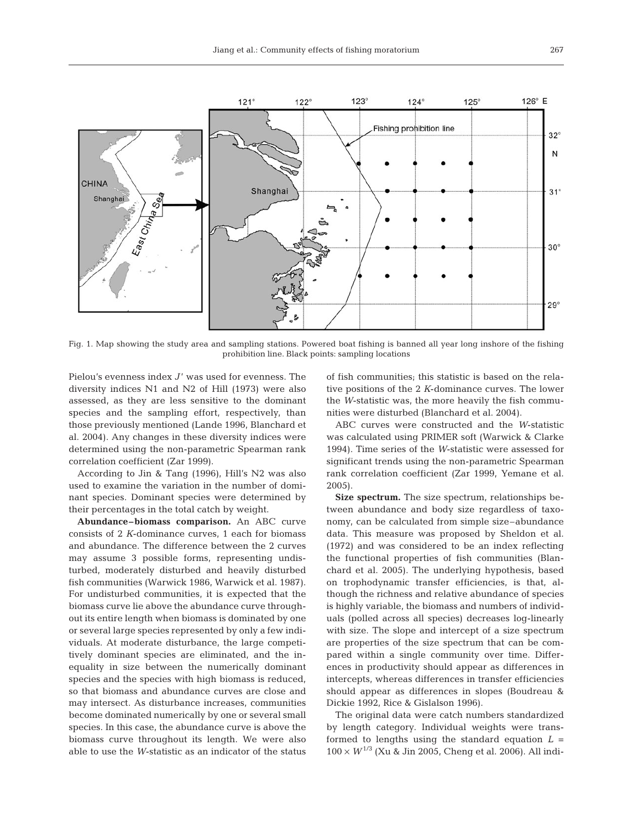

Fig. 1. Map showing the study area and sampling stations. Powered boat fishing is banned all year long inshore of the fishing prohibition line. Black points: sampling locations

Pielou's evenness index *J'* was used for evenness. The diversity indices N1 and N2 of Hill (1973) were also assessed, as they are less sensitive to the dominant species and the sampling effort, respectively, than those previously mentioned (Lande 1996, Blanchard et al. 2004). Any changes in these diversity indices were determined using the non-parametric Spearman rank correlation coefficient (Zar 1999).

According to Jin & Tang (1996), Hill's N2 was also used to examine the variation in the number of dominant species. Dominant species were determined by their percentages in the total catch by weight.

**Abundance–biomass comparison.** An ABC curve consists of 2 *K*-dominance curves, 1 each for biomass and abundance. The difference between the 2 curves may assume 3 possible forms, representing undisturbed, moderately disturbed and heavily disturbed fish communities (Warwick 1986, Warwick et al. 1987). For undisturbed communities, it is expected that the biomass curve lie above the abundance curve throughout its entire length when biomass is dominated by one or several large species represented by only a few individuals. At moderate disturbance, the large competitively dominant species are eliminated, and the inequality in size between the numerically dominant species and the species with high biomass is reduced, so that biomass and abundance curves are close and may intersect. As disturbance increases, communities become dominated numerically by one or several small species. In this case, the abundance curve is above the biomass curve throughout its length. We were also able to use the *W*-statistic as an indicator of the status

of fish communities; this statistic is based on the relative positions of the 2 *K*-dominance curves. The lower the *W*-statistic was, the more heavily the fish communities were disturbed (Blanchard et al. 2004).

ABC curves were constructed and the *W*-statistic was calculated using PRIMER soft (Warwick & Clarke 1994). Time series of the *W*-statistic were assessed for significant trends using the non-parametric Spearman rank correlation coefficient (Zar 1999, Yemane et al. 2005).

**Size spectrum.** The size spectrum, relationships between abundance and body size regardless of taxonomy, can be calculated from simple size–abundance data. This measure was proposed by Sheldon et al. (1972) and was considered to be an index reflecting the functional properties of fish communities (Blanchard et al. 2005). The underlying hypothesis, based on trophodynamic transfer efficiencies, is that, although the richness and relative abundance of species is highly variable, the biomass and numbers of individuals (polled across all species) decreases log-linearly with size. The slope and intercept of a size spectrum are properties of the size spectrum that can be compared within a single community over time. Differences in productivity should appear as differences in intercepts, whereas differences in transfer efficiencies should appear as differences in slopes (Boudreau & Dickie 1992, Rice & Gislalson 1996).

The original data were catch numbers standardized by length category. Individual weights were transformed to lengths using the standard equation  $L =$  $100 \times W^{1/3}$  (Xu & Jin 2005, Cheng et al. 2006). All indi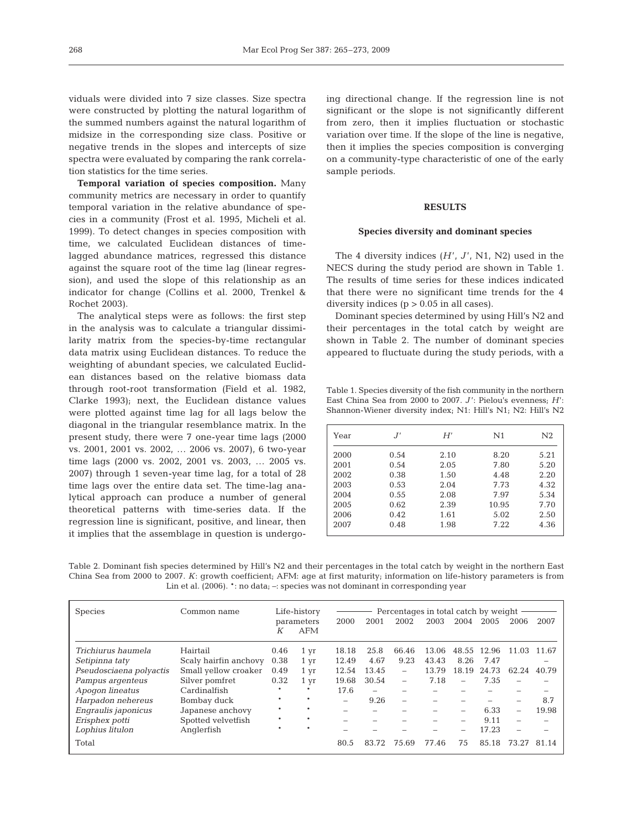viduals were divided into 7 size classes. Size spectra were constructed by plotting the natural logarithm of the summed numbers against the natural logarithm of midsize in the corresponding size class. Positive or negative trends in the slopes and intercepts of size spectra were evaluated by comparing the rank correlation statistics for the time series.

**Temporal variation of species composition.** Many community metrics are necessary in order to quantify temporal variation in the relative abundance of species in a community (Frost et al. 1995, Micheli et al. 1999). To detect changes in species composition with time, we calculated Euclidean distances of timelagged abundance matrices, regressed this distance against the square root of the time lag (linear regression), and used the slope of this relationship as an indicator for change (Collins et al. 2000, Trenkel & Rochet 2003).

The analytical steps were as follows: the first step in the analysis was to calculate a triangular dissimilarity matrix from the species-by-time rectangular data matrix using Euclidean distances. To reduce the weighting of abundant species, we calculated Euclidean distances based on the relative biomass data through root-root transformation (Field et al. 1982, Clarke 1993); next, the Euclidean distance values were plotted against time lag for all lags below the diagonal in the triangular resemblance matrix. In the present study, there were 7 one-year time lags (2000 vs. 2001, 2001 vs. 2002, … 2006 vs. 2007), 6 two-year time lags (2000 vs. 2002, 2001 vs. 2003, … 2005 vs. 2007) through 1 seven-year time lag, for a total of 28 time lags over the entire data set. The time-lag analytical approach can produce a number of general theoretical patterns with time-series data. If the regression line is significant, positive, and linear, then it implies that the assemblage in question is undergoing directional change. If the regression line is not significant or the slope is not significantly different from zero, then it implies fluctuation or stochastic variation over time. If the slope of the line is negative, then it implies the species composition is converging on a community-type characteristic of one of the early sample periods.

## **RESULTS**

## **Species diversity and dominant species**

The 4 diversity indices  $(H', J', N1, N2)$  used in the NECS during the study period are shown in Table 1. The results of time series for these indices indicated that there were no significant time trends for the 4 diversity indices  $(p > 0.05$  in all cases).

Dominant species determined by using Hill's N2 and their percentages in the total catch by weight are shown in Table 2. The number of dominant species appeared to fluctuate during the study periods, with a

Table 1. Species diversity of the fish community in the northern East China Sea from 2000 to 2007. *J* ': Pielou's evenness; *H*': Shannon-Wiener diversity index; N1: Hill's N1; N2: Hill's N2

| Year |      | H'   | N1    | N2   |
|------|------|------|-------|------|
| 2000 | 0.54 | 2.10 | 8.20  | 5.21 |
| 2001 | 0.54 | 2.05 | 7.80  | 5.20 |
| 2002 | 0.38 | 1.50 | 4.48  | 2.20 |
| 2003 | 0.53 | 2.04 | 7.73  | 4.32 |
| 2004 | 0.55 | 2.08 | 7.97  | 5.34 |
| 2005 | 0.62 | 2.39 | 10.95 | 7.70 |
| 2006 | 0.42 | 1.61 | 5.02  | 2.50 |
| 2007 | 0.48 | 1.98 | 7.22  | 4.36 |

Table 2. Dominant fish species determined by Hill's N2 and their percentages in the total catch by weight in the northern East China Sea from 2000 to 2007. *K*: growth coefficient; AFM: age at first maturity; information on life-history parameters is from Lin et al. (2006).  $*$ : no data;  $-$ : species was not dominant in corresponding year

| <b>Species</b>          | Life-history<br>Percentages in total catch by weight -<br>Common name |         |            |       |                          |                          |       |                          |       |                          |       |
|-------------------------|-----------------------------------------------------------------------|---------|------------|-------|--------------------------|--------------------------|-------|--------------------------|-------|--------------------------|-------|
|                         |                                                                       |         | parameters | 2000  | 2001                     | 2002                     | 2003  | 2004                     | 2005  | 2006                     | 2007  |
|                         |                                                                       | К       | AFM        |       |                          |                          |       |                          |       |                          |       |
| Trichiurus haumela      | Hairtail                                                              | 0.46    | 1 yr       | 18.18 | 25.8                     | 66.46                    | 13.06 | 48.55                    | 12.96 | 11.03                    | 11.67 |
| Setipinna taty          | Scaly hairfin anchovy                                                 | 0.38    | 1 yr       | 12.49 | 4.67                     | 9.23                     | 43.43 | 8.26                     | 7.47  |                          |       |
| Pseudosciaena polyactis | Small yellow croaker                                                  | 0.49    | 1 yr       | 12.54 | 13.45                    | $\overline{\phantom{0}}$ | 13.79 | 18.19                    | 24.73 | 62.24                    | 40.79 |
| Pampus argenteus        | Silver pomfret                                                        | 0.32    | 1 yr       | 19.68 | 30.54                    | $\overline{\phantom{0}}$ | 7.18  | $\overline{\phantom{0}}$ | 7.35  | $\equiv$                 |       |
| Apogon lineatus         | Cardinalfish                                                          |         | $\star$    | 17.6  | -                        |                          |       |                          |       |                          |       |
| Harpadon nehereus       | Bombay duck                                                           | $\ast$  | $\ast$     | -     | 9.26                     | -                        |       |                          |       | -                        | 8.7   |
| Engraulis japonicus     | Japanese anchovy                                                      |         | $\star$    | -     | -                        |                          | -     | $\overline{\phantom{a}}$ | 6.33  | $\overline{\phantom{0}}$ | 19.98 |
| Erisphex potti          | Spotted velvetfish                                                    |         |            | -     | $\overline{\phantom{0}}$ |                          | -     | $\overline{\phantom{a}}$ | 9.11  | -                        | -     |
| Lophius litulon         | Anglerfish                                                            | $\star$ |            |       |                          |                          |       |                          | 17.23 | -                        |       |
| Total                   |                                                                       |         |            | 80.5  | 83.72                    | 75.69                    | 77.46 | 75                       | 85.18 | 73.27                    | 81.14 |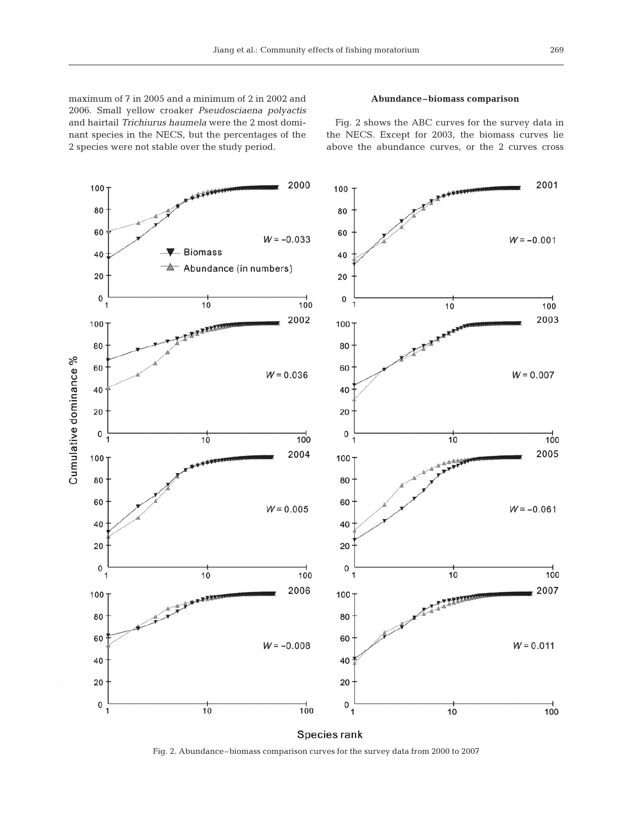maximum of 7 in 2005 and a minimum of 2 in 2002 and 2006. Small yellow croaker *Pseudosciaena polyactis* and hairtail *Trichiurus haumela* were the 2 most dominant species in the NECS, but the percentages of the 2 species were not stable over the study period.

# **Abundance–biomass comparison**

Fig. 2 shows the ABC curves for the survey data in the NECS. Except for 2003, the biomass curves lie above the abundance curves, or the 2 curves cross



Fig. 2. Abundance–biomass comparison curves for the survey data from 2000 to 2007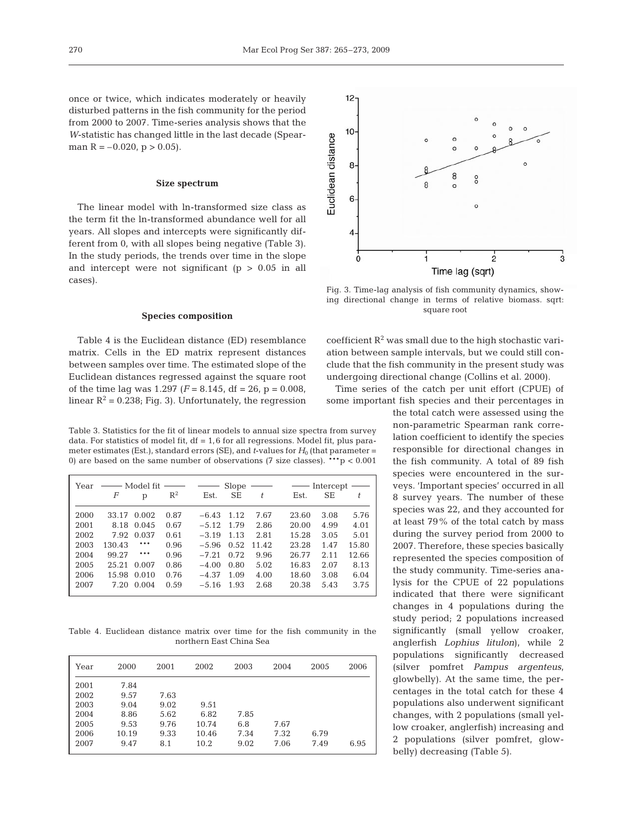once or twice, which indicates moderately or heavily disturbed patterns in the fish community for the period from 2000 to 2007. Time-series analysis shows that the *W*-statistic has changed little in the last decade (Spearman  $R = -0.020$ ,  $p > 0.05$ ).

## **Size spectrum**

The linear model with ln-transformed size class as the term fit the ln-transformed abundance well for all years. All slopes and intercepts were significantly different from 0, with all slopes being negative (Table 3). In the study periods, the trends over time in the slope and intercept were not significant  $(p > 0.05$  in all cases).

## **Species composition**

Table 4 is the Euclidean distance (ED) resemblance matrix. Cells in the ED matrix represent distances between samples over time. The estimated slope of the Euclidean distances regressed against the square root of the time lag was  $1.297$  ( $F = 8.145$ , df = 26, p = 0.008, linear  $R^2 = 0.238$ ; Fig. 3). Unfortunately, the regression

Table 3. Statistics for the fit of linear models to annual size spectra from survey data. For statistics of model fit,  $df = 1,6$  for all regressions. Model fit, plus parameter estimates (Est.), standard errors (SE), and  $t$ -values for  $H_0$  (that parameter = 0) are based on the same number of observations (7 size classes). \*\*\*p < 0.001

| Year | —— Model fit |              |       | $\sim$ $-$   | Slope     |       |       | $\overline{\phantom{m}}$ Intercept $\overline{\phantom{m}}$ |       |
|------|--------------|--------------|-------|--------------|-----------|-------|-------|-------------------------------------------------------------|-------|
|      | F            | $\mathbf{p}$ | $R^2$ | Est.         | <b>SE</b> | t.    | Est.  | <b>SE</b>                                                   | t.    |
| 2000 | 33.17        | 0.002        | 0.87  | $-6.43$ 1.12 |           | 7.67  | 23.60 | 3.08                                                        | 5.76  |
| 2001 | 8.18         | 0.045        | 0.67  | $-5.12$ 1.79 |           | 2.86  | 20.00 | 4.99                                                        | 4.01  |
| 2002 | 7.92         | 0.037        | 0.61  | $-3.19$      | 1.13      | 2.81  | 15.28 | 3.05                                                        | 5.01  |
| 2003 | 130.43       | ***          | 0.96  | $-5.96$      | 0.52      | 11.42 | 23.28 | 1.47                                                        | 15.80 |
| 2004 | 99.27        | ***          | 0.96  | $-7.21$      | 0.72      | 9.96  | 26.77 | 2.11                                                        | 12.66 |
| 2005 | 25.21        | 0.007        | 0.86  | $-4.00$      | 0.80      | 5.02  | 16.83 | 2.07                                                        | 8.13  |
| 2006 | 15.98        | 0.010        | 0.76  | $-4.37$      | 1.09      | 4.00  | 18.60 | 3.08                                                        | 6.04  |
| 2007 | 7.20         | 0.004        | 0.59  | $-5.16$      | 1.93      | 2.68  | 20.38 | 5.43                                                        | 3.75  |

Table 4. Euclidean distance matrix over time for the fish community in the northern East China Sea

| Year | 2000  | 2001 | 2002  | 2003 | 2004 | 2005 | 2006 |
|------|-------|------|-------|------|------|------|------|
| 2001 | 7.84  |      |       |      |      |      |      |
| 2002 | 9.57  | 7.63 |       |      |      |      |      |
| 2003 | 9.04  | 9.02 | 9.51  |      |      |      |      |
| 2004 | 8.86  | 5.62 | 6.82  | 7.85 |      |      |      |
| 2005 | 9.53  | 9.76 | 10.74 | 6.8  | 7.67 |      |      |
| 2006 | 10.19 | 9.33 | 10.46 | 7.34 | 7.32 | 6.79 |      |
| 2007 | 9.47  | 8.1  | 10.2  | 9.02 | 7.06 | 7.49 | 6.95 |



Fig. 3. Time-lag analysis of fish community dynamics, showing directional change in terms of relative biomass. sqrt: square root

coefficient  $R^2$  was small due to the high stochastic variation between sample intervals, but we could still conclude that the fish community in the present study was undergoing directional change (Collins et al. 2000).

Time series of the catch per unit effort (CPUE) of some important fish species and their percentages in

> the total catch were assessed using the non-parametric Spearman rank correlation coefficient to identify the species responsible for directional changes in the fish community. A total of 89 fish species were encountered in the surveys. 'Important species' occurred in all 8 survey years. The number of these species was 22, and they accounted for at least 79% of the total catch by mass during the survey period from 2000 to 2007. Therefore, these species basically represented the species composition of the study community. Time-series analysis for the CPUE of 22 populations indicated that there were significant changes in 4 populations during the study period; 2 populations increased significantly (small yellow croaker, anglerfish *Lophius litulon*), while 2 populations significantly decreased (silver pomfret *Pampus argenteus*, glowbelly). At the same time, the percentages in the total catch for these 4 populations also underwent significant changes, with 2 populations (small yellow croaker, anglerfish) increasing and 2 populations (silver pomfret, glowbelly) decreasing (Table 5).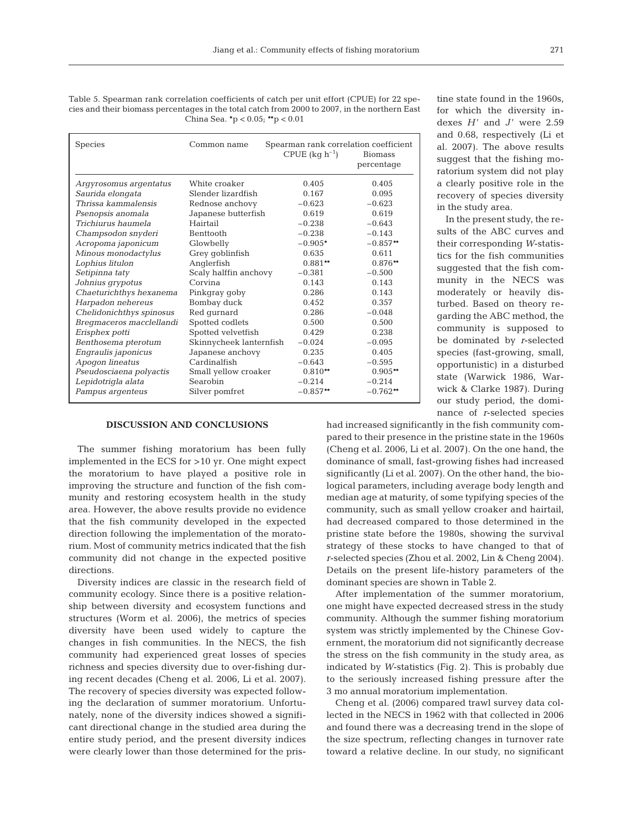Table 5. Spearman rank correlation coefficients of catch per unit effort (CPUE) for 22 species and their biomass percentages in the total catch from 2000 to 2007, in the northern East China Sea. **\***p < 0.05; **\*\***p < 0.01

| <b>Species</b>           | Common name             | Spearman rank correlation coefficient<br>CPUE $(kq h^{-1})$ | <b>Biomass</b><br>percentage |
|--------------------------|-------------------------|-------------------------------------------------------------|------------------------------|
| Argyrosomus argentatus   | White croaker           | 0.405                                                       | 0.405                        |
| Saurida elongata         | Slender lizardfish      | 0.167                                                       | 0.095                        |
| Thrissa kammalensis      | Rednose anchovy         | $-0.623$                                                    | $-0.623$                     |
| Psenopsis anomala        | Japanese butterfish     | 0.619                                                       | 0.619                        |
| Trichiurus haumela       | Hairtail                | $-0.238$                                                    | $-0.643$                     |
| Champsodon snyderi       | <b>Benttooth</b>        | $-0.238$                                                    | $-0.143$                     |
| Acropoma japonicum       | Glowbelly               | $-0.905*$                                                   | $-0.857**$                   |
| Minous monodactylus      | Grey goblinfish         | 0.635                                                       | 0.611                        |
| Lophius litulon          | Anglerfish              | $0.881**$                                                   | $0.876**$                    |
| Setipinna taty           | Scaly halffin anchovy   | $-0.381$                                                    | $-0.500$                     |
| Johnius grypotus         | Corvina                 | 0.143                                                       | 0.143                        |
| Chaeturichthys hexanema  | Pinkgray goby           | 0.286                                                       | 0.143                        |
| Harpadon nehereus        | Bombay duck             | 0.452                                                       | 0.357                        |
| Chelidonichthys spinosus | Red qurnard             | 0.286                                                       | $-0.048$                     |
| Bregmaceros macclellandi | Spotted codlets         | 0.500                                                       | 0.500                        |
| Erisphex potti           | Spotted velvetfish      | 0.429                                                       | 0.238                        |
| Benthosema pterotum      | Skinnycheek lanternfish | $-0.024$                                                    | $-0.095$                     |
| Engraulis japonicus      | Japanese anchovy        | 0.235                                                       | 0.405                        |
| Apogon lineatus          | Cardinalfish            | $-0.643$                                                    | $-0.595$                     |
| Pseudosciaena polyactis  | Small yellow croaker    | $0.810**$                                                   | $0.905**$                    |
| Lepidotrigla alata       | Searobin                | $-0.214$                                                    | $-0.214$                     |
| Pampus argenteus         | Silver pomfret          | $-0.857**$                                                  | $-0.762**$                   |

## **DISCUSSION AND CONCLUSIONS**

The summer fishing moratorium has been fully implemented in the ECS for >10 yr. One might expect the moratorium to have played a positive role in improving the structure and function of the fish community and restoring ecosystem health in the study area. However, the above results provide no evidence that the fish community developed in the expected direction following the implementation of the moratorium. Most of community metrics indicated that the fish community did not change in the expected positive directions.

Diversity indices are classic in the research field of community ecology. Since there is a positive relationship between diversity and ecosystem functions and structures (Worm et al. 2006), the metrics of species diversity have been used widely to capture the changes in fish communities. In the NECS, the fish community had experienced great losses of species richness and species diversity due to over-fishing during recent decades (Cheng et al. 2006, Li et al. 2007). The recovery of species diversity was expected following the declaration of summer moratorium. Unfortunately, none of the diversity indices showed a significant directional change in the studied area during the entire study period, and the present diversity indices were clearly lower than those determined for the pris-

tine state found in the 1960s, for which the diversity indexes  $H'$  and  $J'$  were 2.59 and 0.68, respectively (Li et al. 2007). The above results suggest that the fishing moratorium system did not play a clearly positive role in the recovery of species diversity in the study area.

In the present study, the results of the ABC curves and their corresponding *W*-statistics for the fish communities suggested that the fish community in the NECS was moderately or heavily disturbed. Based on theory regarding the ABC method, the community is supposed to be dominated by *r*-selected species (fast-growing, small, opportunistic) in a disturbed state (Warwick 1986, Warwick & Clarke 1987). During our study period, the dominance of *r*-selected species

had increased significantly in the fish community compared to their presence in the pristine state in the 1960s (Cheng et al. 2006, Li et al. 2007). On the one hand, the dominance of small, fast-growing fishes had increased significantly (Li et al. 2007). On the other hand, the biological parameters, including average body length and median age at maturity, of some typifying species of the community, such as small yellow croaker and hairtail, had decreased compared to those determined in the pristine state before the 1980s, showing the survival strategy of these stocks to have changed to that of *r*-selected species (Zhou et al. 2002, Lin & Cheng 2004). Details on the present life-history parameters of the dominant species are shown in Table 2.

After implementation of the summer moratorium, one might have expected decreased stress in the study community. Although the summer fishing moratorium system was strictly implemented by the Chinese Government, the moratorium did not significantly decrease the stress on the fish community in the study area, as indicated by *W*-statistics (Fig. 2). This is probably due to the seriously increased fishing pressure after the 3 mo annual moratorium implementation.

Cheng et al. (2006) compared trawl survey data collected in the NECS in 1962 with that collected in 2006 and found there was a decreasing trend in the slope of the size spectrum, reflecting changes in turnover rate toward a relative decline. In our study, no significant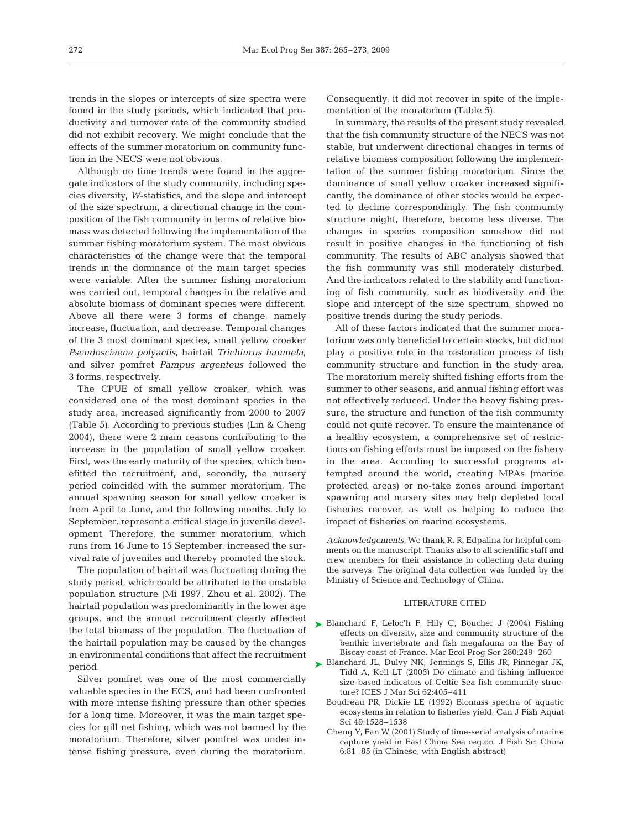trends in the slopes or intercepts of size spectra were found in the study periods, which indicated that productivity and turnover rate of the community studied did not exhibit recovery. We might conclude that the effects of the summer moratorium on community function in the NECS were not obvious.

Although no time trends were found in the aggregate indicators of the study community, including species diversity, *W*-statistics, and the slope and intercept of the size spectrum, a directional change in the composition of the fish community in terms of relative biomass was detected following the implementation of the summer fishing moratorium system. The most obvious characteristics of the change were that the temporal trends in the dominance of the main target species were variable. After the summer fishing moratorium was carried out, temporal changes in the relative and absolute biomass of dominant species were different. Above all there were 3 forms of change, namely increase, fluctuation, and decrease. Temporal changes of the 3 most dominant species, small yellow croaker *Pseudosciaena polyactis*, hairtail *Trichiurus haumela*, and silver pomfret *Pampus argenteus* followed the 3 forms, respectively.

The CPUE of small yellow croaker, which was considered one of the most dominant species in the study area, increased significantly from 2000 to 2007 (Table 5). According to previous studies (Lin & Cheng 2004), there were 2 main reasons contributing to the increase in the population of small yellow croaker. First, was the early maturity of the species, which benefitted the recruitment, and, secondly, the nursery period coincided with the summer moratorium. The annual spawning season for small yellow croaker is from April to June, and the following months, July to September, represent a critical stage in juvenile development. Therefore, the summer moratorium, which runs from 16 June to 15 September, increased the survival rate of juveniles and thereby promoted the stock.

The population of hairtail was fluctuating during the study period, which could be attributed to the unstable population structure (Mi 1997, Zhou et al. 2002). The hairtail population was predominantly in the lower age groups, and the annual recruitment clearly affected the total biomass of the population. The fluctuation of the hairtail population may be caused by the changes in environmental conditions that affect the recruitment period.

Silver pomfret was one of the most commercially valuable species in the ECS, and had been confronted with more intense fishing pressure than other species for a long time. Moreover, it was the main target species for gill net fishing, which was not banned by the moratorium. Therefore, silver pomfret was under intense fishing pressure, even during the moratorium. Consequently, it did not recover in spite of the implementation of the moratorium (Table 5).

In summary, the results of the present study revealed that the fish community structure of the NECS was not stable, but underwent directional changes in terms of relative biomass composition following the implementation of the summer fishing moratorium. Since the dominance of small yellow croaker increased significantly, the dominance of other stocks would be expected to decline correspondingly. The fish community structure might, therefore, become less diverse. The changes in species composition somehow did not result in positive changes in the functioning of fish community. The results of ABC analysis showed that the fish community was still moderately disturbed. And the indicators related to the stability and functioning of fish community, such as biodiversity and the slope and intercept of the size spectrum, showed no positive trends during the study periods.

All of these factors indicated that the summer moratorium was only beneficial to certain stocks, but did not play a positive role in the restoration process of fish community structure and function in the study area. The moratorium merely shifted fishing efforts from the summer to other seasons, and annual fishing effort was not effectively reduced. Under the heavy fishing pressure, the structure and function of the fish community could not quite recover. To ensure the maintenance of a healthy ecosystem, a comprehensive set of restrictions on fishing efforts must be imposed on the fishery in the area. According to successful programs attempted around the world, creating MPAs (marine protected areas) or no-take zones around important spawning and nursery sites may help depleted local fisheries recover, as well as helping to reduce the impact of fisheries on marine ecosystems.

*Acknowledgements.* We thank R. R. Edpalina for helpful comments on the manuscript. Thanks also to all scientific staff and crew members for their assistance in collecting data during the surveys. The original data collection was funded by the Ministry of Science and Technology of China.

## LITERATURE CITED

- ▶ Blanchard F, Leloc'h F, Hily C, Boucher J (2004) Fishing effects on diversity, size and community structure of the benthic invertebrate and fish megafauna on the Bay of Biscay coast of France. Mar Ecol Prog Ser 280:249–260
- Blanchard JL, Dulvy NK, Jennings S, Ellis JR, Pinnegar JK, ➤Tidd A, Kell LT (2005) Do climate and fishing influence size-based indicators of Celtic Sea fish community structure? ICES J Mar Sci 62:405–411
	- Boudreau PR, Dickie LE (1992) Biomass spectra of aquatic ecosystems in relation to fisheries yield. Can J Fish Aquat Sci 49:1528–1538
	- Cheng Y, Fan W (2001) Study of time-serial analysis of marine capture yield in East China Sea region. J Fish Sci China 6:81–85 (in Chinese, with English abstract)